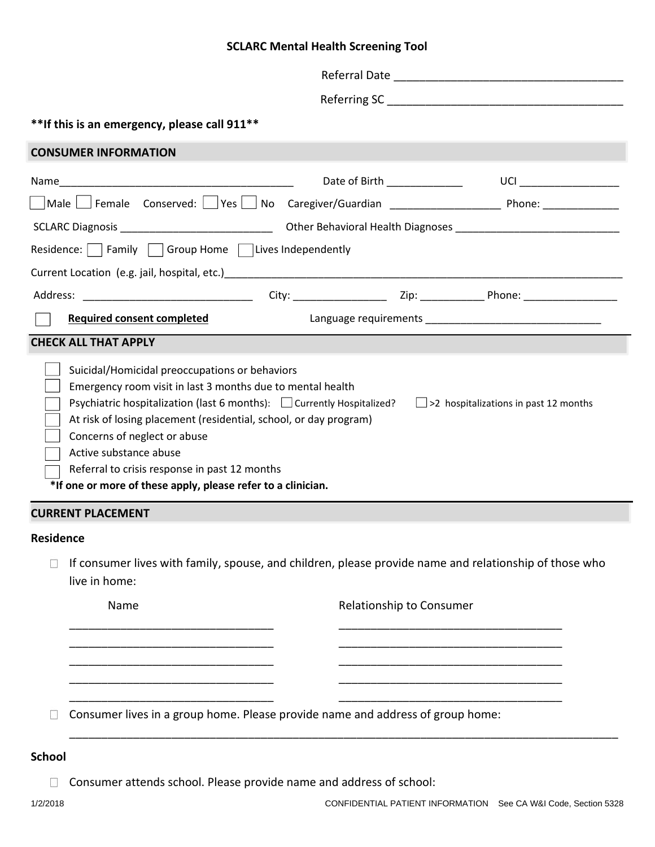## **SCLARC Mental Health Screening Tool**

| ** If this is an emergency, please call 911**                                                                                                                   |                                                                                                                          |                                                                                                                                                                                                                                |
|-----------------------------------------------------------------------------------------------------------------------------------------------------------------|--------------------------------------------------------------------------------------------------------------------------|--------------------------------------------------------------------------------------------------------------------------------------------------------------------------------------------------------------------------------|
| <b>CONSUMER INFORMATION</b>                                                                                                                                     |                                                                                                                          |                                                                                                                                                                                                                                |
|                                                                                                                                                                 | Date of Birth ______________                                                                                             | UCI _____________________                                                                                                                                                                                                      |
|                                                                                                                                                                 |                                                                                                                          |                                                                                                                                                                                                                                |
|                                                                                                                                                                 |                                                                                                                          |                                                                                                                                                                                                                                |
| Residence: $\Box$ Family $\Box$ Group Home $\Box$ Lives Independently                                                                                           |                                                                                                                          |                                                                                                                                                                                                                                |
|                                                                                                                                                                 |                                                                                                                          |                                                                                                                                                                                                                                |
|                                                                                                                                                                 |                                                                                                                          |                                                                                                                                                                                                                                |
| <b>Required consent completed</b>                                                                                                                               |                                                                                                                          | Language requirements and the state of the state of the state of the state of the state of the state of the state of the state of the state of the state of the state of the state of the state of the state of the state of t |
| <b>CHECK ALL THAT APPLY</b>                                                                                                                                     |                                                                                                                          |                                                                                                                                                                                                                                |
| Emergency room visit in last 3 months due to mental health<br>At risk of losing placement (residential, school, or day program)<br>Concerns of neglect or abuse | Psychiatric hospitalization (last 6 months): $\Box$ Currently Hospitalized? $\Box$ >2 hospitalizations in past 12 months |                                                                                                                                                                                                                                |
| Active substance abuse<br>Referral to crisis response in past 12 months<br>*If one or more of these apply, please refer to a clinician.                         |                                                                                                                          |                                                                                                                                                                                                                                |
| <b>CURRENT PLACEMENT</b>                                                                                                                                        |                                                                                                                          |                                                                                                                                                                                                                                |
| Residence<br>live in home:                                                                                                                                      | If consumer lives with family, spouse, and children, please provide name and relationship of those who                   |                                                                                                                                                                                                                                |
| Name                                                                                                                                                            | Relationship to Consumer                                                                                                 |                                                                                                                                                                                                                                |
|                                                                                                                                                                 |                                                                                                                          |                                                                                                                                                                                                                                |
|                                                                                                                                                                 |                                                                                                                          |                                                                                                                                                                                                                                |
|                                                                                                                                                                 |                                                                                                                          |                                                                                                                                                                                                                                |
|                                                                                                                                                                 | Consumer lives in a group home. Please provide name and address of group home:                                           |                                                                                                                                                                                                                                |

Consumer attends school. Please provide name and address of school: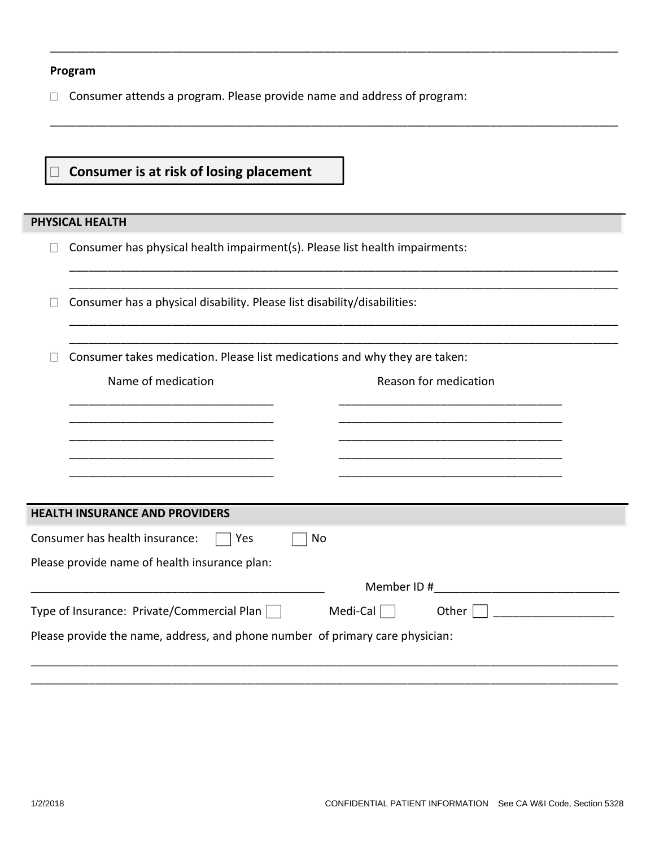## **Program**

Consumer attends a program. Please provide name and address of program:

\_\_\_\_\_\_\_\_\_\_\_\_\_\_\_\_\_\_\_\_\_\_\_\_\_\_\_\_\_\_\_\_\_\_\_\_\_\_\_\_\_\_\_\_\_\_\_\_\_\_\_\_\_\_\_\_\_\_\_\_\_\_\_\_\_\_\_\_\_\_\_\_\_\_\_\_\_\_\_\_\_\_\_\_\_\_\_\_\_

\_\_\_\_\_\_\_\_\_\_\_\_\_\_\_\_\_\_\_\_\_\_\_\_\_\_\_\_\_\_\_\_\_\_\_\_\_\_\_\_\_\_\_\_\_\_\_\_\_\_\_\_\_\_\_\_\_\_\_\_\_\_\_\_\_\_\_\_\_\_\_\_\_\_\_\_\_\_\_\_\_\_\_\_\_\_\_\_\_

\_\_\_\_\_\_\_\_\_\_\_\_\_\_\_\_\_\_\_\_\_\_\_\_\_\_\_\_\_\_\_\_\_\_\_\_\_\_\_\_\_\_\_\_\_\_\_\_\_\_\_\_\_\_\_\_\_\_\_\_\_\_\_\_\_\_\_\_\_\_\_\_\_\_\_\_\_\_\_\_\_\_\_\_\_\_ \_\_\_\_\_\_\_\_\_\_\_\_\_\_\_\_\_\_\_\_\_\_\_\_\_\_\_\_\_\_\_\_\_\_\_\_\_\_\_\_\_\_\_\_\_\_\_\_\_\_\_\_\_\_\_\_\_\_\_\_\_\_\_\_\_\_\_\_\_\_\_\_\_\_\_\_\_\_\_\_\_\_\_\_\_\_

\_\_\_\_\_\_\_\_\_\_\_\_\_\_\_\_\_\_\_\_\_\_\_\_\_\_\_\_\_\_\_\_\_\_\_\_\_\_\_\_\_\_\_\_\_\_\_\_\_\_\_\_\_\_\_\_\_\_\_\_\_\_\_\_\_\_\_\_\_\_\_\_\_\_\_\_\_\_\_\_\_\_\_\_\_\_ \_\_\_\_\_\_\_\_\_\_\_\_\_\_\_\_\_\_\_\_\_\_\_\_\_\_\_\_\_\_\_\_\_\_\_\_\_\_\_\_\_\_\_\_\_\_\_\_\_\_\_\_\_\_\_\_\_\_\_\_\_\_\_\_\_\_\_\_\_\_\_\_\_\_\_\_\_\_\_\_\_\_\_\_\_\_

## **Consumer is at risk of losing placement**

## **PHYSICAL HEALTH**

|  |  |  |  | $\exists$ Consumer has physical health impairment(s). Please list health impairments: |
|--|--|--|--|---------------------------------------------------------------------------------------|
|--|--|--|--|---------------------------------------------------------------------------------------|

 $\Box$  Consumer has a physical disability. Please list disability/disabilities:

 $\Box$  Consumer takes medication. Please list medications and why they are taken:

| Name of medication                                                            | Reason for medication |
|-------------------------------------------------------------------------------|-----------------------|
|                                                                               |                       |
|                                                                               |                       |
|                                                                               |                       |
|                                                                               |                       |
| <b>HEALTH INSURANCE AND PROVIDERS</b>                                         |                       |
| Consumer has health insurance:<br>Yes<br>No                                   |                       |
| Please provide name of health insurance plan:                                 |                       |
|                                                                               | Member ID#            |
| Type of Insurance: Private/Commercial Plan                                    | Medi-Cal<br>Other     |
| Please provide the name, address, and phone number of primary care physician: |                       |
|                                                                               |                       |

\_\_\_\_\_\_\_\_\_\_\_\_\_\_\_\_\_\_\_\_\_\_\_\_\_\_\_\_\_\_\_\_\_\_\_\_\_\_\_\_\_\_\_\_\_\_\_\_\_\_\_\_\_\_\_\_\_\_\_\_\_\_\_\_\_\_\_\_\_\_\_\_\_\_\_\_\_\_\_\_\_\_\_\_\_\_\_\_\_\_\_\_